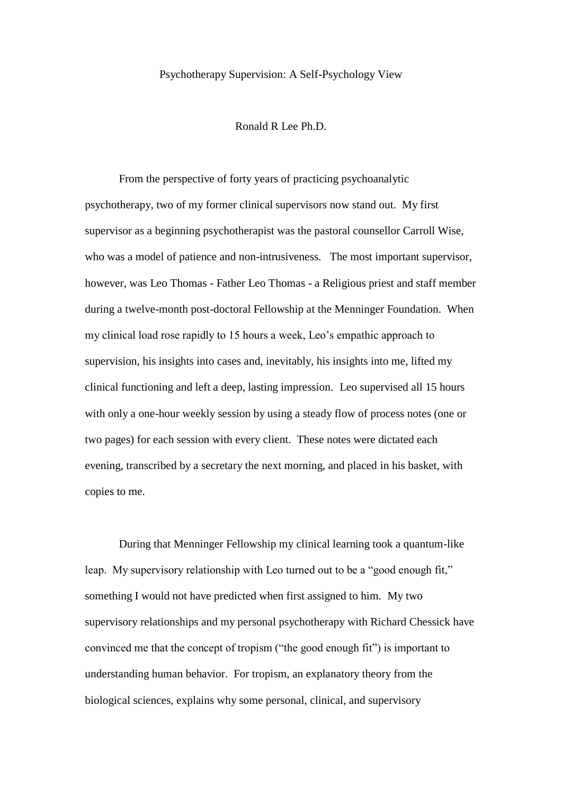## Psychotherapy Supervision: A Self-Psychology View

#### Ronald R Lee Ph.D.

From the perspective of forty years of practicing psychoanalytic psychotherapy, two of my former clinical supervisors now stand out. My first supervisor as a beginning psychotherapist was the pastoral counsellor Carroll Wise, who was a model of patience and non-intrusiveness. The most important supervisor, however, was Leo Thomas - Father Leo Thomas - a Religious priest and staff member during a twelve-month post-doctoral Fellowship at the Menninger Foundation. When my clinical load rose rapidly to 15 hours a week, Leo"s empathic approach to supervision, his insights into cases and, inevitably, his insights into me, lifted my clinical functioning and left a deep, lasting impression. Leo supervised all 15 hours with only a one-hour weekly session by using a steady flow of process notes (one or two pages) for each session with every client. These notes were dictated each evening, transcribed by a secretary the next morning, and placed in his basket, with copies to me.

During that Menninger Fellowship my clinical learning took a quantum-like leap. My supervisory relationship with Leo turned out to be a "good enough fit," something I would not have predicted when first assigned to him. My two supervisory relationships and my personal psychotherapy with Richard Chessick have convinced me that the concept of tropism ("the good enough fit") is important to understanding human behavior. For tropism, an explanatory theory from the biological sciences, explains why some personal, clinical, and supervisory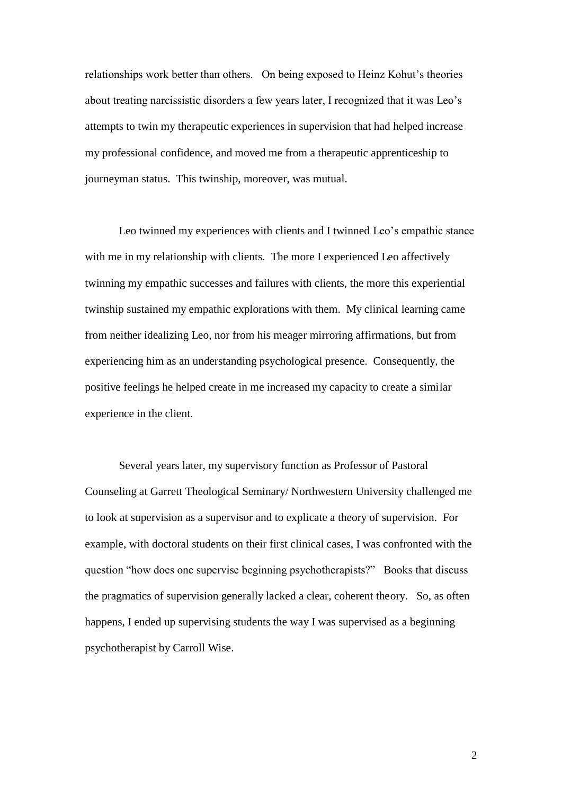relationships work better than others. On being exposed to Heinz Kohut"s theories about treating narcissistic disorders a few years later, I recognized that it was Leo"s attempts to twin my therapeutic experiences in supervision that had helped increase my professional confidence, and moved me from a therapeutic apprenticeship to journeyman status. This twinship, moreover, was mutual.

Leo twinned my experiences with clients and I twinned Leo's empathic stance with me in my relationship with clients. The more I experienced Leo affectively twinning my empathic successes and failures with clients, the more this experiential twinship sustained my empathic explorations with them. My clinical learning came from neither idealizing Leo, nor from his meager mirroring affirmations, but from experiencing him as an understanding psychological presence. Consequently, the positive feelings he helped create in me increased my capacity to create a similar experience in the client.

Several years later, my supervisory function as Professor of Pastoral Counseling at Garrett Theological Seminary/ Northwestern University challenged me to look at supervision as a supervisor and to explicate a theory of supervision. For example, with doctoral students on their first clinical cases, I was confronted with the question "how does one supervise beginning psychotherapists?" Books that discuss the pragmatics of supervision generally lacked a clear, coherent theory. So, as often happens, I ended up supervising students the way I was supervised as a beginning psychotherapist by Carroll Wise.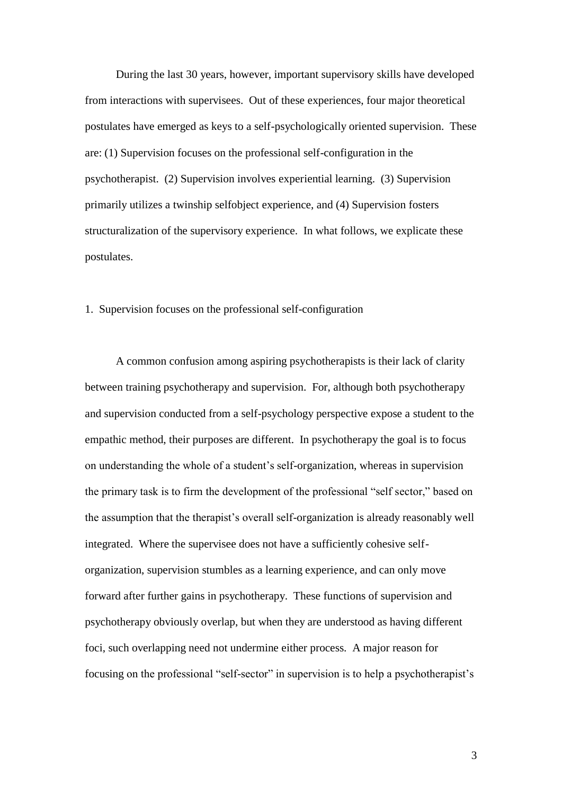During the last 30 years, however, important supervisory skills have developed from interactions with supervisees. Out of these experiences, four major theoretical postulates have emerged as keys to a self-psychologically oriented supervision. These are: (1) Supervision focuses on the professional self-configuration in the psychotherapist. (2) Supervision involves experiential learning. (3) Supervision primarily utilizes a twinship selfobject experience, and (4) Supervision fosters structuralization of the supervisory experience. In what follows, we explicate these postulates.

## 1. Supervision focuses on the professional self-configuration

A common confusion among aspiring psychotherapists is their lack of clarity between training psychotherapy and supervision. For, although both psychotherapy and supervision conducted from a self-psychology perspective expose a student to the empathic method, their purposes are different. In psychotherapy the goal is to focus on understanding the whole of a student"s self-organization, whereas in supervision the primary task is to firm the development of the professional "self sector," based on the assumption that the therapist"s overall self-organization is already reasonably well integrated. Where the supervisee does not have a sufficiently cohesive selforganization, supervision stumbles as a learning experience, and can only move forward after further gains in psychotherapy. These functions of supervision and psychotherapy obviously overlap, but when they are understood as having different foci, such overlapping need not undermine either process. A major reason for focusing on the professional "self-sector" in supervision is to help a psychotherapist's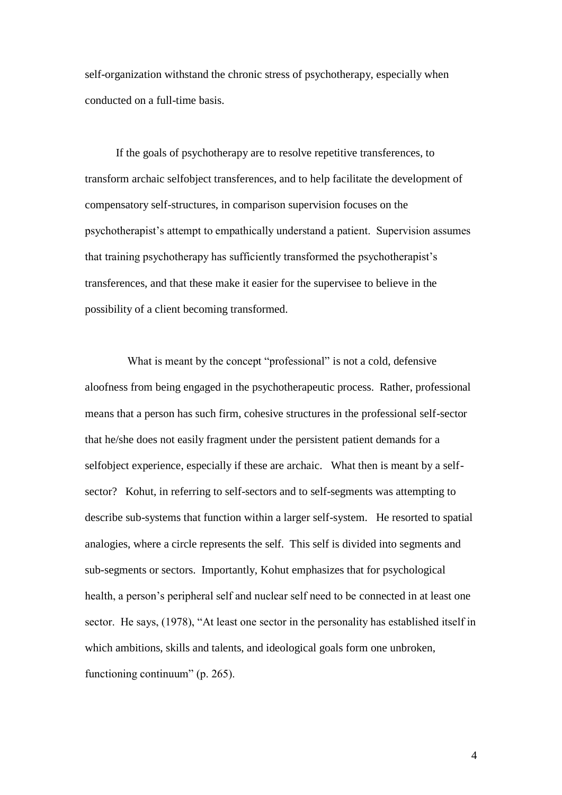self-organization withstand the chronic stress of psychotherapy, especially when conducted on a full-time basis.

If the goals of psychotherapy are to resolve repetitive transferences, to transform archaic selfobject transferences, and to help facilitate the development of compensatory self-structures, in comparison supervision focuses on the psychotherapist"s attempt to empathically understand a patient. Supervision assumes that training psychotherapy has sufficiently transformed the psychotherapist"s transferences, and that these make it easier for the supervisee to believe in the possibility of a client becoming transformed.

What is meant by the concept "professional" is not a cold, defensive aloofness from being engaged in the psychotherapeutic process. Rather, professional means that a person has such firm, cohesive structures in the professional self-sector that he/she does not easily fragment under the persistent patient demands for a selfobject experience, especially if these are archaic. What then is meant by a selfsector? Kohut, in referring to self-sectors and to self-segments was attempting to describe sub-systems that function within a larger self-system. He resorted to spatial analogies, where a circle represents the self. This self is divided into segments and sub-segments or sectors. Importantly, Kohut emphasizes that for psychological health, a person's peripheral self and nuclear self need to be connected in at least one sector. He says, (1978), "At least one sector in the personality has established itself in which ambitions, skills and talents, and ideological goals form one unbroken, functioning continuum" (p. 265).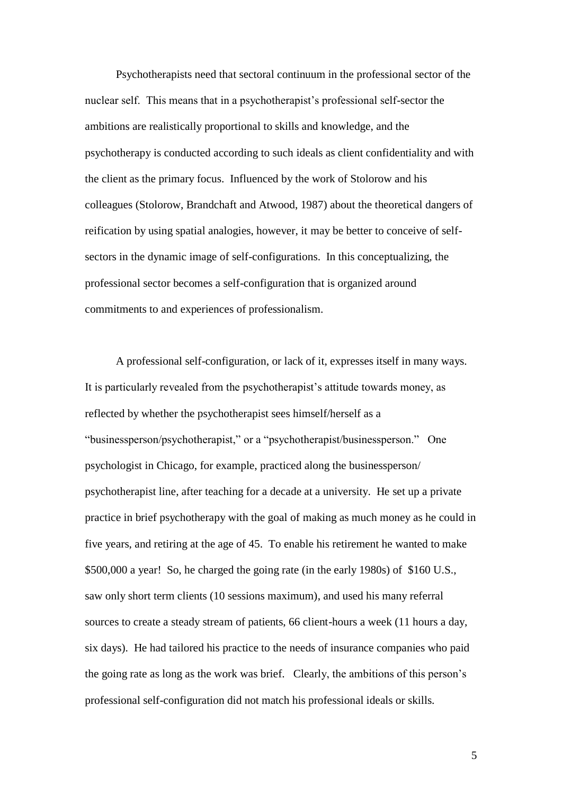Psychotherapists need that sectoral continuum in the professional sector of the nuclear self. This means that in a psychotherapist's professional self-sector the ambitions are realistically proportional to skills and knowledge, and the psychotherapy is conducted according to such ideals as client confidentiality and with the client as the primary focus. Influenced by the work of Stolorow and his colleagues (Stolorow, Brandchaft and Atwood, 1987) about the theoretical dangers of reification by using spatial analogies, however, it may be better to conceive of selfsectors in the dynamic image of self-configurations. In this conceptualizing, the professional sector becomes a self-configuration that is organized around commitments to and experiences of professionalism.

A professional self-configuration, or lack of it, expresses itself in many ways. It is particularly revealed from the psychotherapist's attitude towards money, as reflected by whether the psychotherapist sees himself/herself as a "businessperson/psychotherapist," or a "psychotherapist/businessperson." One psychologist in Chicago, for example, practiced along the businessperson/ psychotherapist line, after teaching for a decade at a university. He set up a private practice in brief psychotherapy with the goal of making as much money as he could in five years, and retiring at the age of 45. To enable his retirement he wanted to make \$500,000 a year! So, he charged the going rate (in the early 1980s) of \$160 U.S., saw only short term clients (10 sessions maximum), and used his many referral sources to create a steady stream of patients, 66 client-hours a week (11 hours a day, six days). He had tailored his practice to the needs of insurance companies who paid the going rate as long as the work was brief. Clearly, the ambitions of this person"s professional self-configuration did not match his professional ideals or skills.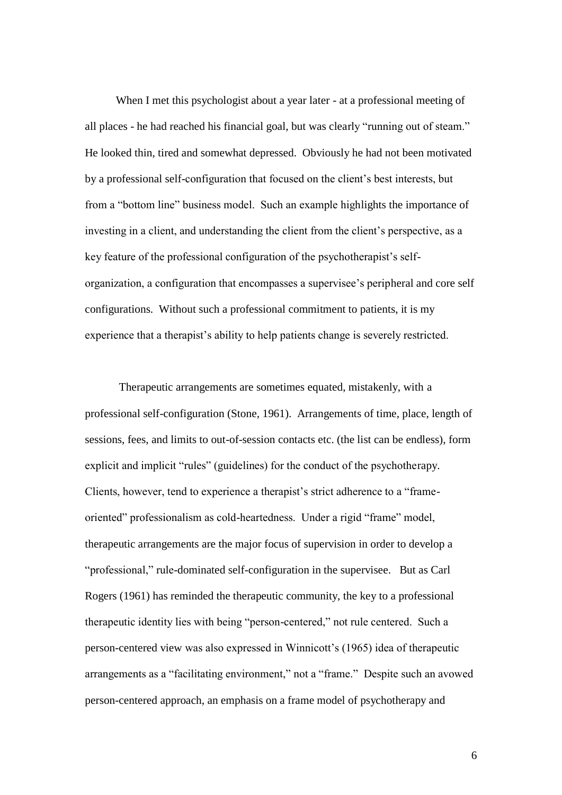When I met this psychologist about a year later - at a professional meeting of all places - he had reached his financial goal, but was clearly "running out of steam." He looked thin, tired and somewhat depressed. Obviously he had not been motivated by a professional self-configuration that focused on the client"s best interests, but from a "bottom line" business model. Such an example highlights the importance of investing in a client, and understanding the client from the client's perspective, as a key feature of the professional configuration of the psychotherapist's selforganization, a configuration that encompasses a supervisee"s peripheral and core self configurations. Without such a professional commitment to patients, it is my experience that a therapist's ability to help patients change is severely restricted.

Therapeutic arrangements are sometimes equated, mistakenly, with a professional self-configuration (Stone, 1961). Arrangements of time, place, length of sessions, fees, and limits to out-of-session contacts etc. (the list can be endless), form explicit and implicit "rules" (guidelines) for the conduct of the psychotherapy. Clients, however, tend to experience a therapist's strict adherence to a "frameoriented" professionalism as cold-heartedness. Under a rigid "frame" model, therapeutic arrangements are the major focus of supervision in order to develop a "professional," rule-dominated self-configuration in the supervisee. But as Carl Rogers (1961) has reminded the therapeutic community, the key to a professional therapeutic identity lies with being "person-centered," not rule centered. Such a person-centered view was also expressed in Winnicott"s (1965) idea of therapeutic arrangements as a "facilitating environment," not a "frame." Despite such an avowed person-centered approach, an emphasis on a frame model of psychotherapy and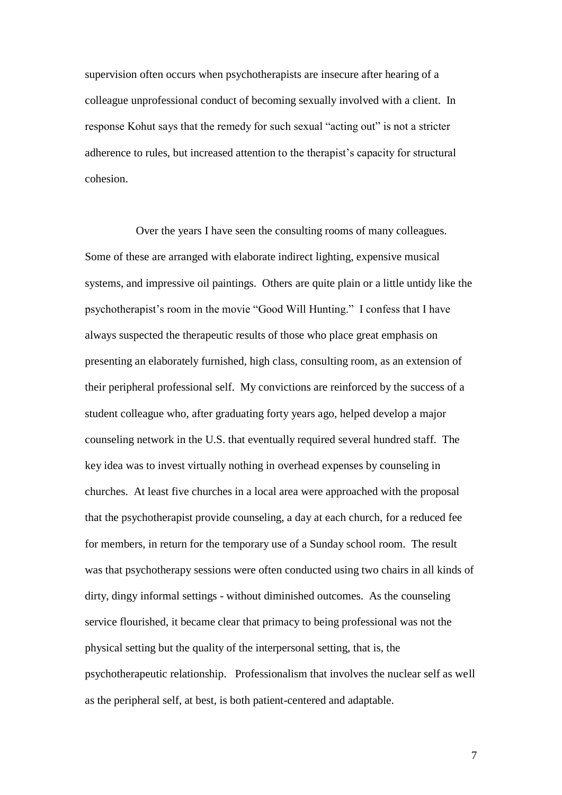supervision often occurs when psychotherapists are insecure after hearing of a colleague unprofessional conduct of becoming sexually involved with a client. In response Kohut says that the remedy for such sexual "acting out" is not a stricter adherence to rules, but increased attention to the therapist"s capacity for structural cohesion.

 Over the years I have seen the consulting rooms of many colleagues. Some of these are arranged with elaborate indirect lighting, expensive musical systems, and impressive oil paintings. Others are quite plain or a little untidy like the psychotherapist"s room in the movie "Good Will Hunting." I confess that I have always suspected the therapeutic results of those who place great emphasis on presenting an elaborately furnished, high class, consulting room, as an extension of their peripheral professional self. My convictions are reinforced by the success of a student colleague who, after graduating forty years ago, helped develop a major counseling network in the U.S. that eventually required several hundred staff. The key idea was to invest virtually nothing in overhead expenses by counseling in churches. At least five churches in a local area were approached with the proposal that the psychotherapist provide counseling, a day at each church, for a reduced fee for members, in return for the temporary use of a Sunday school room. The result was that psychotherapy sessions were often conducted using two chairs in all kinds of dirty, dingy informal settings - without diminished outcomes. As the counseling service flourished, it became clear that primacy to being professional was not the physical setting but the quality of the interpersonal setting, that is, the psychotherapeutic relationship. Professionalism that involves the nuclear self as well as the peripheral self, at best, is both patient-centered and adaptable.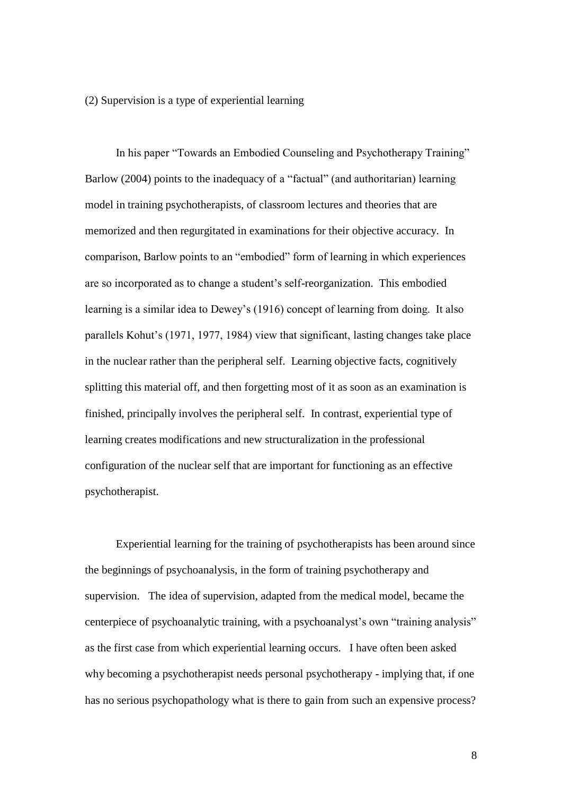(2) Supervision is a type of experiential learning

In his paper "Towards an Embodied Counseling and Psychotherapy Training" Barlow (2004) points to the inadequacy of a "factual" (and authoritarian) learning model in training psychotherapists, of classroom lectures and theories that are memorized and then regurgitated in examinations for their objective accuracy. In comparison, Barlow points to an "embodied" form of learning in which experiences are so incorporated as to change a student"s self-reorganization. This embodied learning is a similar idea to Dewey's (1916) concept of learning from doing. It also parallels Kohut"s (1971, 1977, 1984) view that significant, lasting changes take place in the nuclear rather than the peripheral self. Learning objective facts, cognitively splitting this material off, and then forgetting most of it as soon as an examination is finished, principally involves the peripheral self. In contrast, experiential type of learning creates modifications and new structuralization in the professional configuration of the nuclear self that are important for functioning as an effective psychotherapist.

Experiential learning for the training of psychotherapists has been around since the beginnings of psychoanalysis, in the form of training psychotherapy and supervision. The idea of supervision, adapted from the medical model, became the centerpiece of psychoanalytic training, with a psychoanalyst's own "training analysis" as the first case from which experiential learning occurs. I have often been asked why becoming a psychotherapist needs personal psychotherapy - implying that, if one has no serious psychopathology what is there to gain from such an expensive process?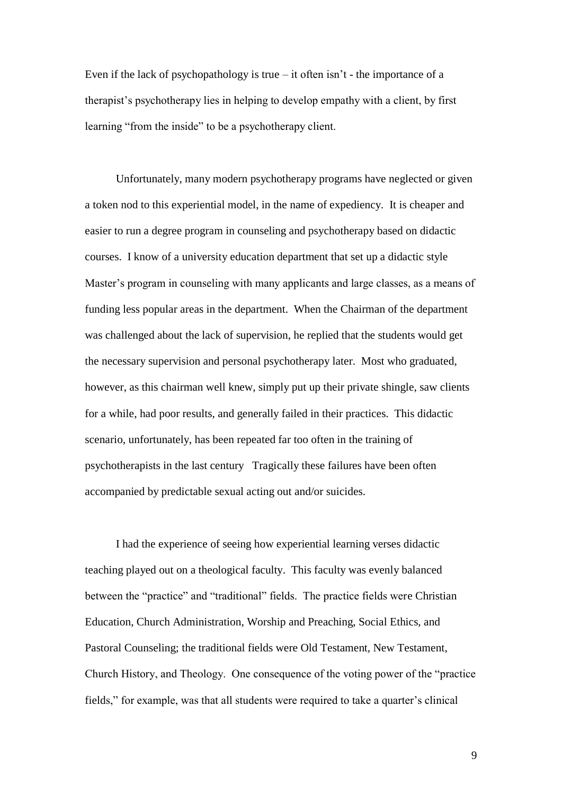Even if the lack of psychopathology is true – it often isn't - the importance of a therapist"s psychotherapy lies in helping to develop empathy with a client, by first learning "from the inside" to be a psychotherapy client.

Unfortunately, many modern psychotherapy programs have neglected or given a token nod to this experiential model, in the name of expediency. It is cheaper and easier to run a degree program in counseling and psychotherapy based on didactic courses. I know of a university education department that set up a didactic style Master's program in counseling with many applicants and large classes, as a means of funding less popular areas in the department. When the Chairman of the department was challenged about the lack of supervision, he replied that the students would get the necessary supervision and personal psychotherapy later. Most who graduated, however, as this chairman well knew, simply put up their private shingle, saw clients for a while, had poor results, and generally failed in their practices. This didactic scenario, unfortunately, has been repeated far too often in the training of psychotherapists in the last century Tragically these failures have been often accompanied by predictable sexual acting out and/or suicides.

I had the experience of seeing how experiential learning verses didactic teaching played out on a theological faculty. This faculty was evenly balanced between the "practice" and "traditional" fields. The practice fields were Christian Education, Church Administration, Worship and Preaching, Social Ethics, and Pastoral Counseling; the traditional fields were Old Testament, New Testament, Church History, and Theology. One consequence of the voting power of the "practice fields," for example, was that all students were required to take a quarter's clinical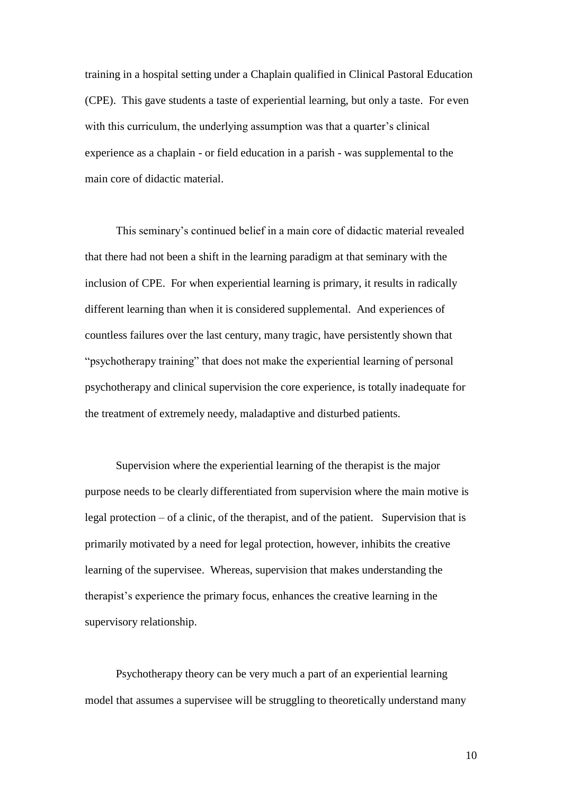training in a hospital setting under a Chaplain qualified in Clinical Pastoral Education (CPE). This gave students a taste of experiential learning, but only a taste. For even with this curriculum, the underlying assumption was that a quarter's clinical experience as a chaplain - or field education in a parish - was supplemental to the main core of didactic material.

This seminary"s continued belief in a main core of didactic material revealed that there had not been a shift in the learning paradigm at that seminary with the inclusion of CPE. For when experiential learning is primary, it results in radically different learning than when it is considered supplemental. And experiences of countless failures over the last century, many tragic, have persistently shown that "psychotherapy training" that does not make the experiential learning of personal psychotherapy and clinical supervision the core experience, is totally inadequate for the treatment of extremely needy, maladaptive and disturbed patients.

Supervision where the experiential learning of the therapist is the major purpose needs to be clearly differentiated from supervision where the main motive is legal protection – of a clinic, of the therapist, and of the patient. Supervision that is primarily motivated by a need for legal protection, however, inhibits the creative learning of the supervisee. Whereas, supervision that makes understanding the therapist"s experience the primary focus, enhances the creative learning in the supervisory relationship.

Psychotherapy theory can be very much a part of an experiential learning model that assumes a supervisee will be struggling to theoretically understand many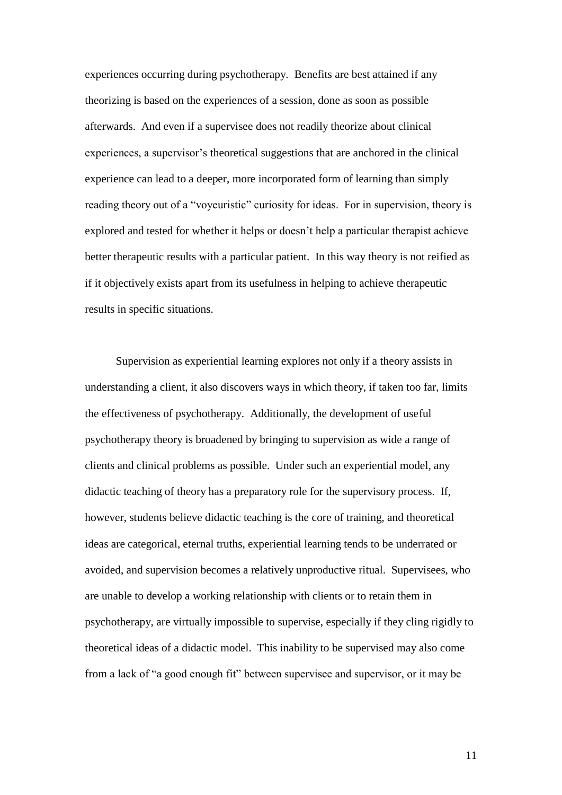experiences occurring during psychotherapy. Benefits are best attained if any theorizing is based on the experiences of a session, done as soon as possible afterwards. And even if a supervisee does not readily theorize about clinical experiences, a supervisor"s theoretical suggestions that are anchored in the clinical experience can lead to a deeper, more incorporated form of learning than simply reading theory out of a "voyeuristic" curiosity for ideas. For in supervision, theory is explored and tested for whether it helps or doesn"t help a particular therapist achieve better therapeutic results with a particular patient. In this way theory is not reified as if it objectively exists apart from its usefulness in helping to achieve therapeutic results in specific situations.

Supervision as experiential learning explores not only if a theory assists in understanding a client, it also discovers ways in which theory, if taken too far, limits the effectiveness of psychotherapy. Additionally, the development of useful psychotherapy theory is broadened by bringing to supervision as wide a range of clients and clinical problems as possible. Under such an experiential model, any didactic teaching of theory has a preparatory role for the supervisory process. If, however, students believe didactic teaching is the core of training, and theoretical ideas are categorical, eternal truths, experiential learning tends to be underrated or avoided, and supervision becomes a relatively unproductive ritual. Supervisees, who are unable to develop a working relationship with clients or to retain them in psychotherapy, are virtually impossible to supervise, especially if they cling rigidly to theoretical ideas of a didactic model. This inability to be supervised may also come from a lack of "a good enough fit" between supervisee and supervisor, or it may be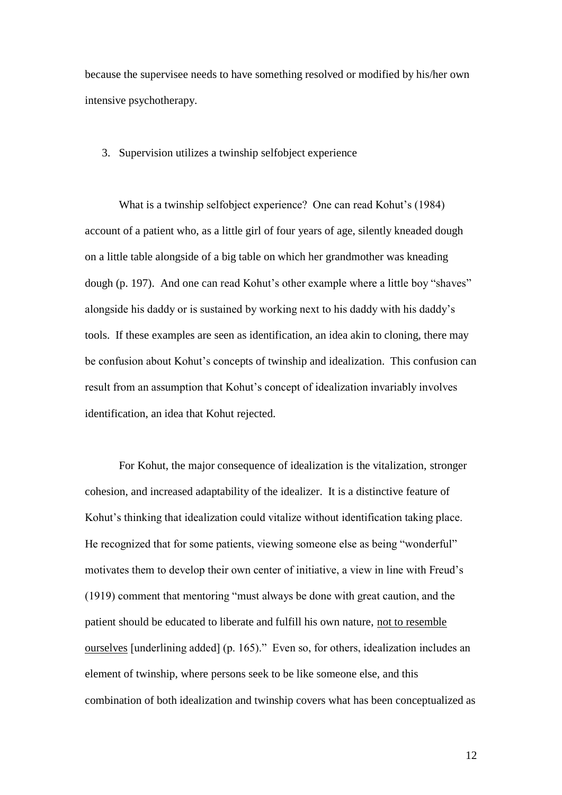because the supervisee needs to have something resolved or modified by his/her own intensive psychotherapy.

#### 3. Supervision utilizes a twinship selfobject experience

What is a twinship selfobject experience? One can read Kohut's (1984) account of a patient who, as a little girl of four years of age, silently kneaded dough on a little table alongside of a big table on which her grandmother was kneading dough (p. 197). And one can read Kohut's other example where a little boy "shaves" alongside his daddy or is sustained by working next to his daddy with his daddy"s tools. If these examples are seen as identification, an idea akin to cloning, there may be confusion about Kohut"s concepts of twinship and idealization. This confusion can result from an assumption that Kohut"s concept of idealization invariably involves identification, an idea that Kohut rejected.

For Kohut, the major consequence of idealization is the vitalization, stronger cohesion, and increased adaptability of the idealizer. It is a distinctive feature of Kohut"s thinking that idealization could vitalize without identification taking place. He recognized that for some patients, viewing someone else as being "wonderful" motivates them to develop their own center of initiative, a view in line with Freud"s (1919) comment that mentoring "must always be done with great caution, and the patient should be educated to liberate and fulfill his own nature, not to resemble ourselves [underlining added] (p. 165)." Even so, for others, idealization includes an element of twinship, where persons seek to be like someone else, and this combination of both idealization and twinship covers what has been conceptualized as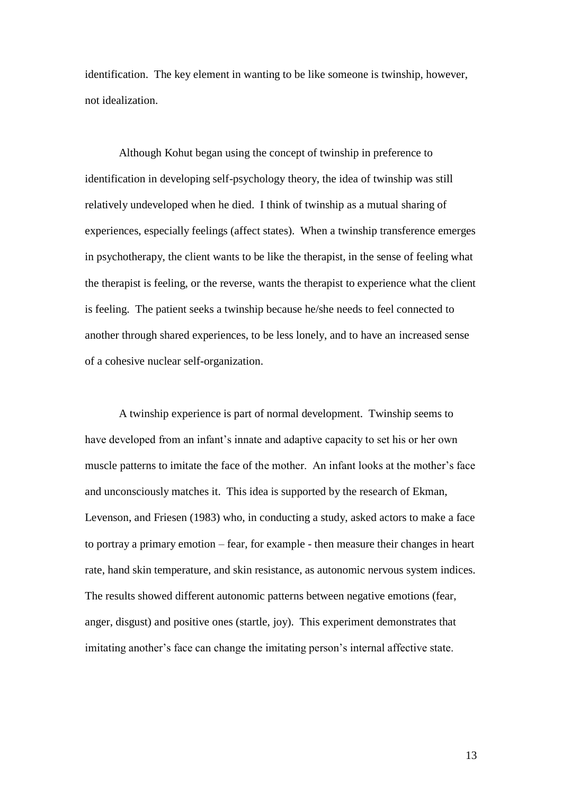identification. The key element in wanting to be like someone is twinship, however, not idealization.

Although Kohut began using the concept of twinship in preference to identification in developing self-psychology theory, the idea of twinship was still relatively undeveloped when he died. I think of twinship as a mutual sharing of experiences, especially feelings (affect states). When a twinship transference emerges in psychotherapy, the client wants to be like the therapist, in the sense of feeling what the therapist is feeling, or the reverse, wants the therapist to experience what the client is feeling. The patient seeks a twinship because he/she needs to feel connected to another through shared experiences, to be less lonely, and to have an increased sense of a cohesive nuclear self-organization.

A twinship experience is part of normal development. Twinship seems to have developed from an infant"s innate and adaptive capacity to set his or her own muscle patterns to imitate the face of the mother. An infant looks at the mother's face and unconsciously matches it. This idea is supported by the research of Ekman, Levenson, and Friesen (1983) who, in conducting a study, asked actors to make a face to portray a primary emotion – fear, for example - then measure their changes in heart rate, hand skin temperature, and skin resistance, as autonomic nervous system indices. The results showed different autonomic patterns between negative emotions (fear, anger, disgust) and positive ones (startle, joy). This experiment demonstrates that imitating another"s face can change the imitating person"s internal affective state.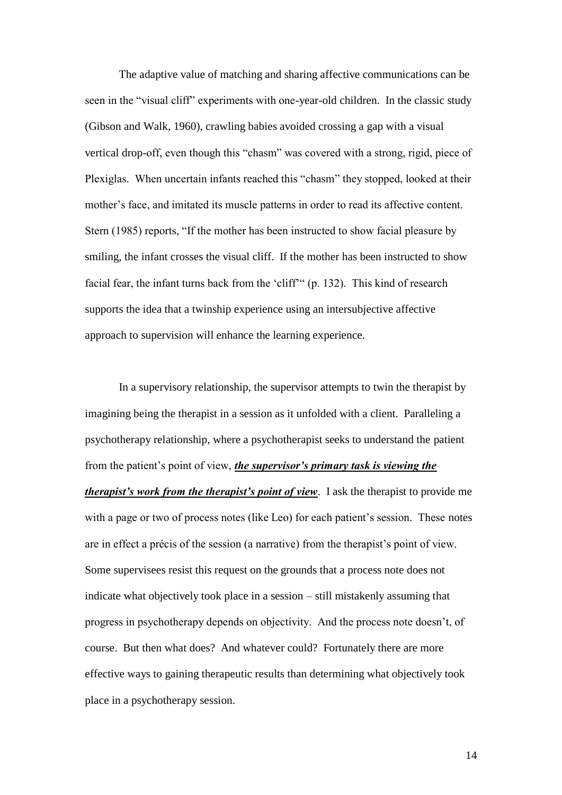The adaptive value of matching and sharing affective communications can be seen in the "visual cliff" experiments with one-year-old children. In the classic study (Gibson and Walk, 1960), crawling babies avoided crossing a gap with a visual vertical drop-off, even though this "chasm" was covered with a strong, rigid, piece of Plexiglas. When uncertain infants reached this "chasm" they stopped, looked at their mother"s face, and imitated its muscle patterns in order to read its affective content. Stern (1985) reports, "If the mother has been instructed to show facial pleasure by smiling, the infant crosses the visual cliff. If the mother has been instructed to show facial fear, the infant turns back from the "cliff"" (p. 132). This kind of research supports the idea that a twinship experience using an intersubjective affective approach to supervision will enhance the learning experience.

In a supervisory relationship, the supervisor attempts to twin the therapist by imagining being the therapist in a session as it unfolded with a client. Paralleling a psychotherapy relationship, where a psychotherapist seeks to understand the patient from the patient"s point of view, *the supervisor's primary task is viewing the therapist's work from the therapist's point of view*. I ask the therapist to provide me with a page or two of process notes (like Leo) for each patient's session. These notes are in effect a précis of the session (a narrative) from the therapist's point of view. Some supervisees resist this request on the grounds that a process note does not indicate what objectively took place in a session – still mistakenly assuming that progress in psychotherapy depends on objectivity. And the process note doesn"t, of course. But then what does? And whatever could? Fortunately there are more effective ways to gaining therapeutic results than determining what objectively took place in a psychotherapy session.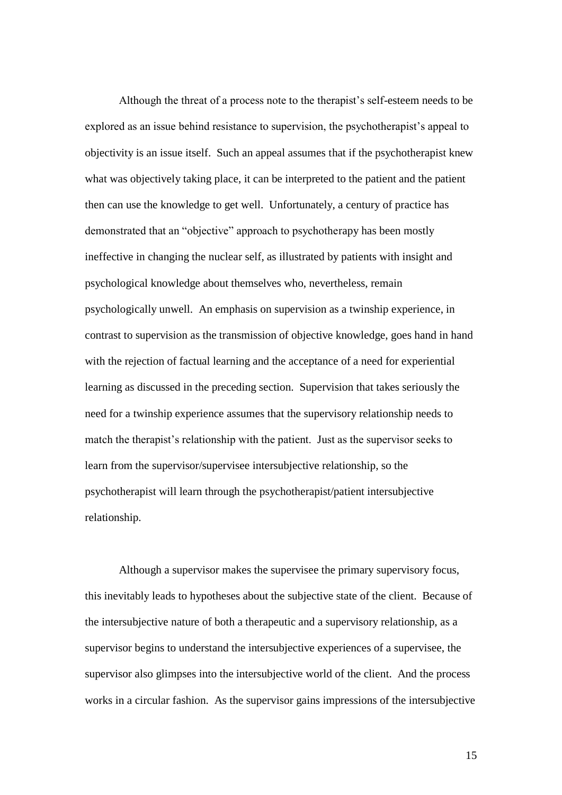Although the threat of a process note to the therapist"s self-esteem needs to be explored as an issue behind resistance to supervision, the psychotherapist's appeal to objectivity is an issue itself. Such an appeal assumes that if the psychotherapist knew what was objectively taking place, it can be interpreted to the patient and the patient then can use the knowledge to get well. Unfortunately, a century of practice has demonstrated that an "objective" approach to psychotherapy has been mostly ineffective in changing the nuclear self, as illustrated by patients with insight and psychological knowledge about themselves who, nevertheless, remain psychologically unwell. An emphasis on supervision as a twinship experience, in contrast to supervision as the transmission of objective knowledge, goes hand in hand with the rejection of factual learning and the acceptance of a need for experiential learning as discussed in the preceding section. Supervision that takes seriously the need for a twinship experience assumes that the supervisory relationship needs to match the therapist"s relationship with the patient. Just as the supervisor seeks to learn from the supervisor/supervisee intersubjective relationship, so the psychotherapist will learn through the psychotherapist/patient intersubjective relationship.

Although a supervisor makes the supervisee the primary supervisory focus, this inevitably leads to hypotheses about the subjective state of the client. Because of the intersubjective nature of both a therapeutic and a supervisory relationship, as a supervisor begins to understand the intersubjective experiences of a supervisee, the supervisor also glimpses into the intersubjective world of the client. And the process works in a circular fashion. As the supervisor gains impressions of the intersubjective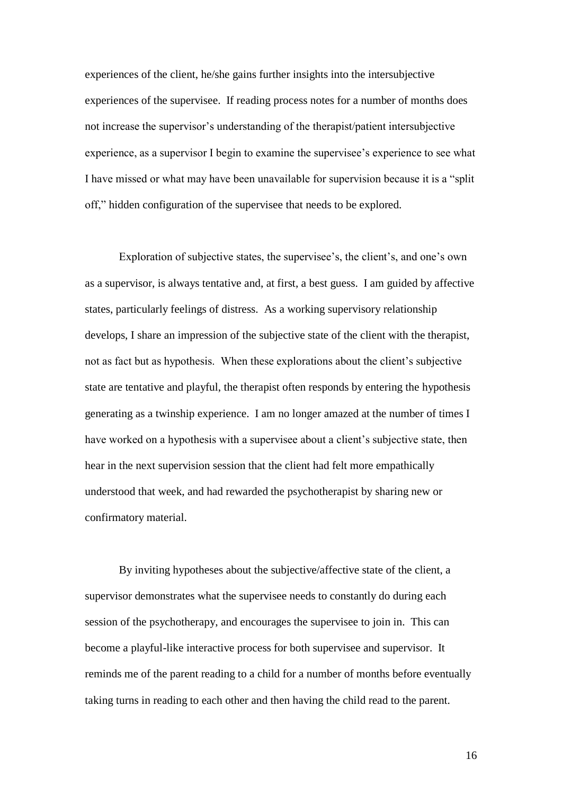experiences of the client, he/she gains further insights into the intersubjective experiences of the supervisee. If reading process notes for a number of months does not increase the supervisor"s understanding of the therapist/patient intersubjective experience, as a supervisor I begin to examine the supervisee's experience to see what I have missed or what may have been unavailable for supervision because it is a "split off," hidden configuration of the supervisee that needs to be explored.

Exploration of subjective states, the supervisee's, the client's, and one's own as a supervisor, is always tentative and, at first, a best guess. I am guided by affective states, particularly feelings of distress. As a working supervisory relationship develops, I share an impression of the subjective state of the client with the therapist, not as fact but as hypothesis. When these explorations about the client"s subjective state are tentative and playful, the therapist often responds by entering the hypothesis generating as a twinship experience. I am no longer amazed at the number of times I have worked on a hypothesis with a supervisee about a client's subjective state, then hear in the next supervision session that the client had felt more empathically understood that week, and had rewarded the psychotherapist by sharing new or confirmatory material.

By inviting hypotheses about the subjective/affective state of the client, a supervisor demonstrates what the supervisee needs to constantly do during each session of the psychotherapy, and encourages the supervisee to join in. This can become a playful-like interactive process for both supervisee and supervisor. It reminds me of the parent reading to a child for a number of months before eventually taking turns in reading to each other and then having the child read to the parent.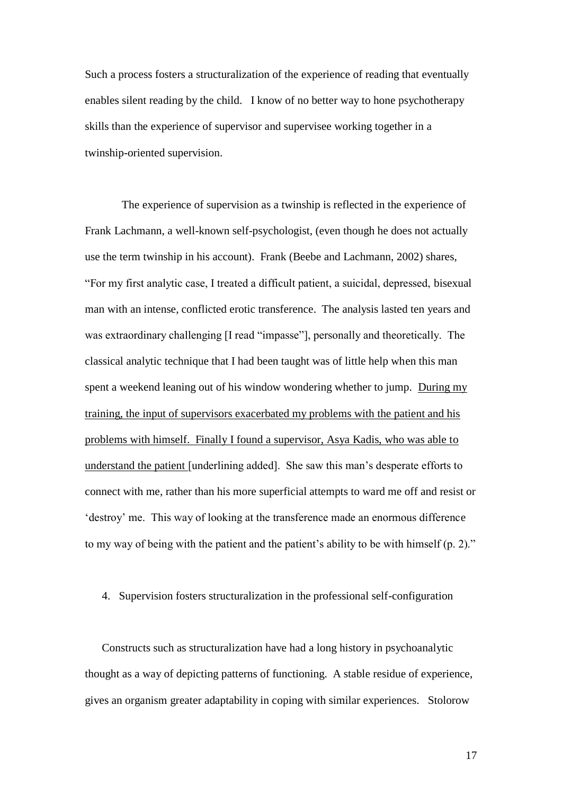Such a process fosters a structuralization of the experience of reading that eventually enables silent reading by the child. I know of no better way to hone psychotherapy skills than the experience of supervisor and supervisee working together in a twinship-oriented supervision.

The experience of supervision as a twinship is reflected in the experience of Frank Lachmann, a well-known self-psychologist, (even though he does not actually use the term twinship in his account). Frank (Beebe and Lachmann, 2002) shares, "For my first analytic case, I treated a difficult patient, a suicidal, depressed, bisexual man with an intense, conflicted erotic transference. The analysis lasted ten years and was extraordinary challenging [I read "impasse"], personally and theoretically. The classical analytic technique that I had been taught was of little help when this man spent a weekend leaning out of his window wondering whether to jump. During my training, the input of supervisors exacerbated my problems with the patient and his problems with himself. Finally I found a supervisor, Asya Kadis, who was able to understand the patient [underlining added]. She saw this man"s desperate efforts to connect with me, rather than his more superficial attempts to ward me off and resist or "destroy" me. This way of looking at the transference made an enormous difference to my way of being with the patient and the patient's ability to be with himself (p. 2)."

## 4. Supervision fosters structuralization in the professional self-configuration

Constructs such as structuralization have had a long history in psychoanalytic thought as a way of depicting patterns of functioning. A stable residue of experience, gives an organism greater adaptability in coping with similar experiences. Stolorow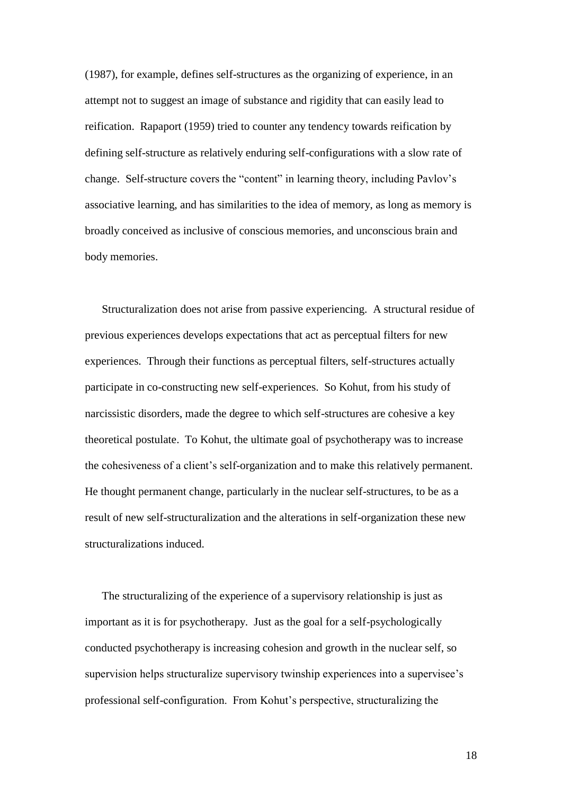(1987), for example, defines self-structures as the organizing of experience, in an attempt not to suggest an image of substance and rigidity that can easily lead to reification. Rapaport (1959) tried to counter any tendency towards reification by defining self-structure as relatively enduring self-configurations with a slow rate of change. Self-structure covers the "content" in learning theory, including Pavlov"s associative learning, and has similarities to the idea of memory, as long as memory is broadly conceived as inclusive of conscious memories, and unconscious brain and body memories.

Structuralization does not arise from passive experiencing. A structural residue of previous experiences develops expectations that act as perceptual filters for new experiences. Through their functions as perceptual filters, self-structures actually participate in co-constructing new self-experiences. So Kohut, from his study of narcissistic disorders, made the degree to which self-structures are cohesive a key theoretical postulate. To Kohut, the ultimate goal of psychotherapy was to increase the cohesiveness of a client"s self-organization and to make this relatively permanent. He thought permanent change, particularly in the nuclear self-structures, to be as a result of new self-structuralization and the alterations in self-organization these new structuralizations induced.

The structuralizing of the experience of a supervisory relationship is just as important as it is for psychotherapy. Just as the goal for a self-psychologically conducted psychotherapy is increasing cohesion and growth in the nuclear self, so supervision helps structuralize supervisory twinship experiences into a supervisee's professional self-configuration. From Kohut"s perspective, structuralizing the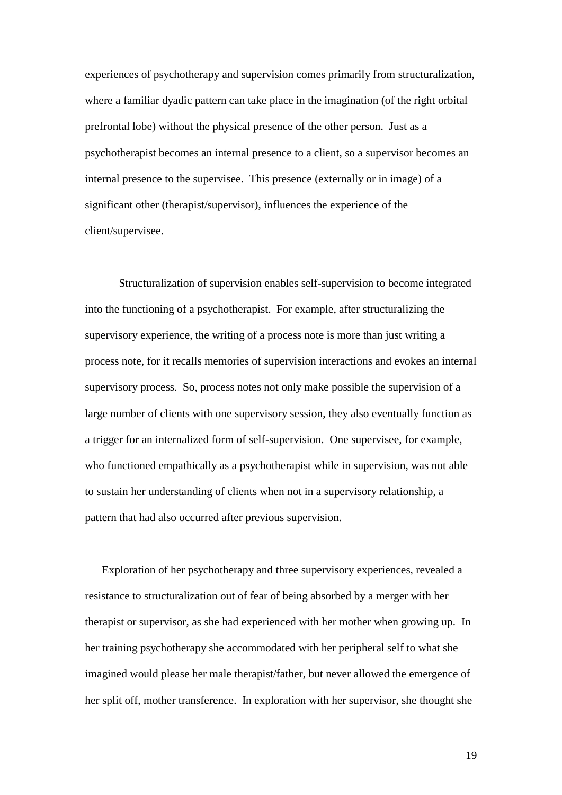experiences of psychotherapy and supervision comes primarily from structuralization, where a familiar dyadic pattern can take place in the imagination (of the right orbital prefrontal lobe) without the physical presence of the other person. Just as a psychotherapist becomes an internal presence to a client, so a supervisor becomes an internal presence to the supervisee. This presence (externally or in image) of a significant other (therapist/supervisor), influences the experience of the client/supervisee.

Structuralization of supervision enables self-supervision to become integrated into the functioning of a psychotherapist. For example, after structuralizing the supervisory experience, the writing of a process note is more than just writing a process note, for it recalls memories of supervision interactions and evokes an internal supervisory process. So, process notes not only make possible the supervision of a large number of clients with one supervisory session, they also eventually function as a trigger for an internalized form of self-supervision. One supervisee, for example, who functioned empathically as a psychotherapist while in supervision, was not able to sustain her understanding of clients when not in a supervisory relationship, a pattern that had also occurred after previous supervision.

Exploration of her psychotherapy and three supervisory experiences, revealed a resistance to structuralization out of fear of being absorbed by a merger with her therapist or supervisor, as she had experienced with her mother when growing up. In her training psychotherapy she accommodated with her peripheral self to what she imagined would please her male therapist/father, but never allowed the emergence of her split off, mother transference. In exploration with her supervisor, she thought she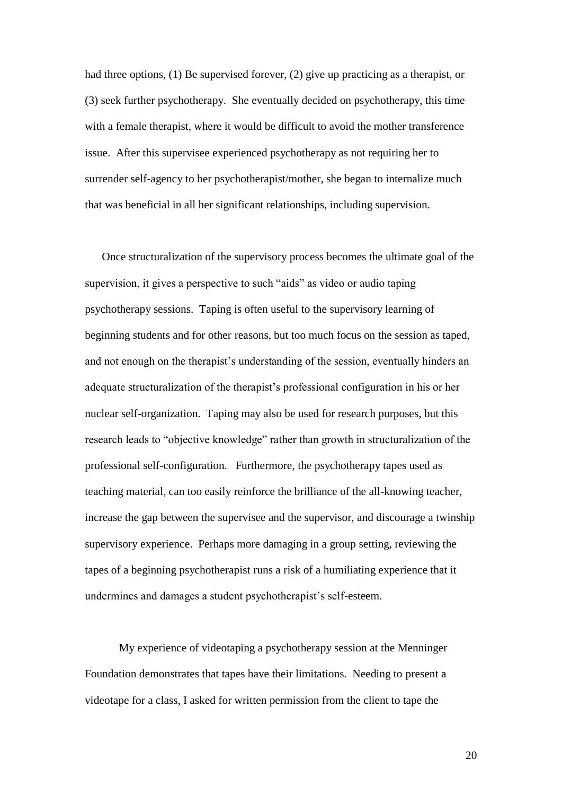had three options, (1) Be supervised forever, (2) give up practicing as a therapist, or (3) seek further psychotherapy. She eventually decided on psychotherapy, this time with a female therapist, where it would be difficult to avoid the mother transference issue. After this supervisee experienced psychotherapy as not requiring her to surrender self-agency to her psychotherapist/mother, she began to internalize much that was beneficial in all her significant relationships, including supervision.

Once structuralization of the supervisory process becomes the ultimate goal of the supervision, it gives a perspective to such "aids" as video or audio taping psychotherapy sessions. Taping is often useful to the supervisory learning of beginning students and for other reasons, but too much focus on the session as taped, and not enough on the therapist's understanding of the session, eventually hinders an adequate structuralization of the therapist's professional configuration in his or her nuclear self-organization. Taping may also be used for research purposes, but this research leads to "objective knowledge" rather than growth in structuralization of the professional self-configuration. Furthermore, the psychotherapy tapes used as teaching material, can too easily reinforce the brilliance of the all-knowing teacher, increase the gap between the supervisee and the supervisor, and discourage a twinship supervisory experience. Perhaps more damaging in a group setting, reviewing the tapes of a beginning psychotherapist runs a risk of a humiliating experience that it undermines and damages a student psychotherapist's self-esteem.

My experience of videotaping a psychotherapy session at the Menninger Foundation demonstrates that tapes have their limitations. Needing to present a videotape for a class, I asked for written permission from the client to tape the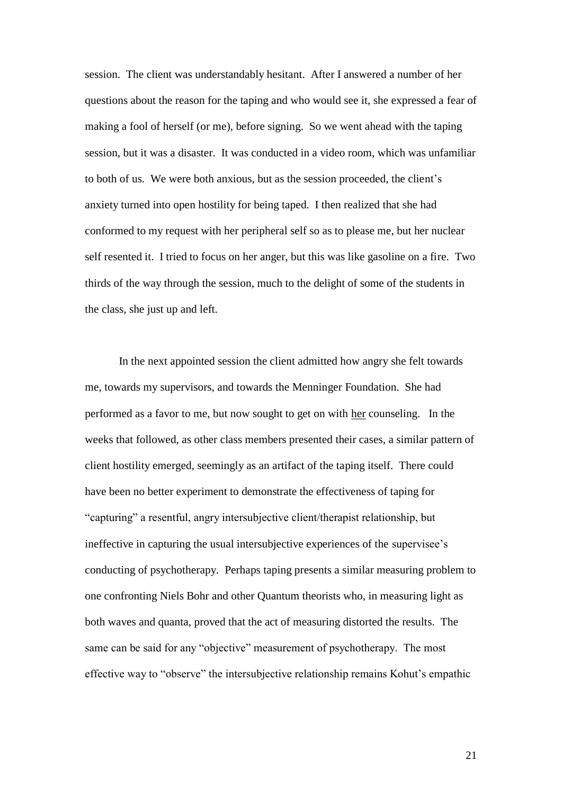session. The client was understandably hesitant. After I answered a number of her questions about the reason for the taping and who would see it, she expressed a fear of making a fool of herself (or me), before signing. So we went ahead with the taping session, but it was a disaster. It was conducted in a video room, which was unfamiliar to both of us. We were both anxious, but as the session proceeded, the client"s anxiety turned into open hostility for being taped. I then realized that she had conformed to my request with her peripheral self so as to please me, but her nuclear self resented it. I tried to focus on her anger, but this was like gasoline on a fire. Two thirds of the way through the session, much to the delight of some of the students in the class, she just up and left.

In the next appointed session the client admitted how angry she felt towards me, towards my supervisors, and towards the Menninger Foundation. She had performed as a favor to me, but now sought to get on with her counseling. In the weeks that followed, as other class members presented their cases, a similar pattern of client hostility emerged, seemingly as an artifact of the taping itself. There could have been no better experiment to demonstrate the effectiveness of taping for "capturing" a resentful, angry intersubjective client/therapist relationship, but ineffective in capturing the usual intersubjective experiences of the supervisee's conducting of psychotherapy. Perhaps taping presents a similar measuring problem to one confronting Niels Bohr and other Quantum theorists who, in measuring light as both waves and quanta, proved that the act of measuring distorted the results. The same can be said for any "objective" measurement of psychotherapy. The most effective way to "observe" the intersubjective relationship remains Kohut's empathic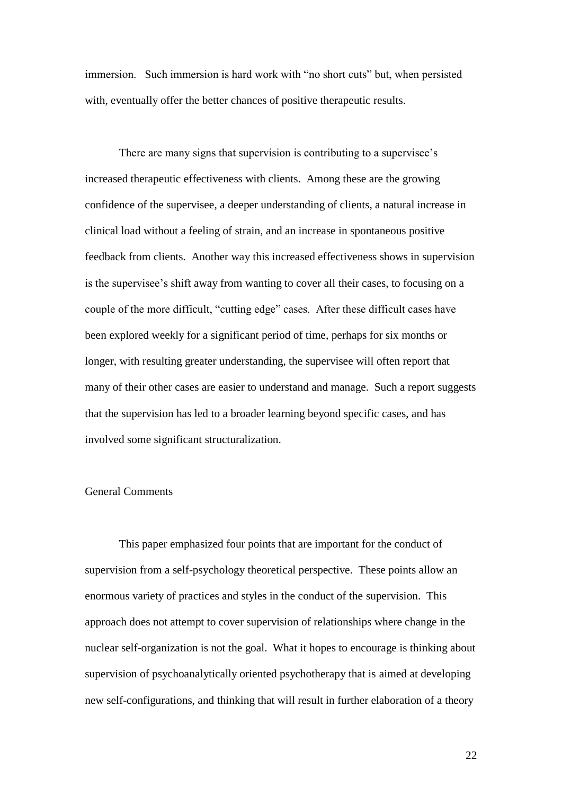immersion. Such immersion is hard work with "no short cuts" but, when persisted with, eventually offer the better chances of positive therapeutic results.

There are many signs that supervision is contributing to a supervisee's increased therapeutic effectiveness with clients. Among these are the growing confidence of the supervisee, a deeper understanding of clients, a natural increase in clinical load without a feeling of strain, and an increase in spontaneous positive feedback from clients. Another way this increased effectiveness shows in supervision is the supervisee's shift away from wanting to cover all their cases, to focusing on a couple of the more difficult, "cutting edge" cases. After these difficult cases have been explored weekly for a significant period of time, perhaps for six months or longer, with resulting greater understanding, the supervisee will often report that many of their other cases are easier to understand and manage. Such a report suggests that the supervision has led to a broader learning beyond specific cases, and has involved some significant structuralization.

# General Comments

This paper emphasized four points that are important for the conduct of supervision from a self-psychology theoretical perspective. These points allow an enormous variety of practices and styles in the conduct of the supervision. This approach does not attempt to cover supervision of relationships where change in the nuclear self-organization is not the goal. What it hopes to encourage is thinking about supervision of psychoanalytically oriented psychotherapy that is aimed at developing new self-configurations, and thinking that will result in further elaboration of a theory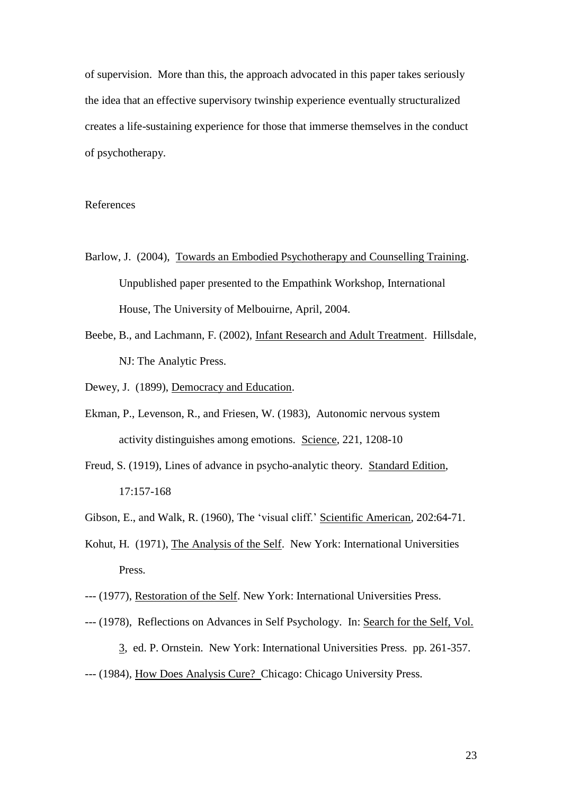of supervision. More than this, the approach advocated in this paper takes seriously the idea that an effective supervisory twinship experience eventually structuralized creates a life-sustaining experience for those that immerse themselves in the conduct of psychotherapy.

# References

- Barlow, J. (2004), Towards an Embodied Psychotherapy and Counselling Training. Unpublished paper presented to the Empathink Workshop, International House, The University of Melbouirne, April, 2004.
- Beebe, B., and Lachmann, F. (2002), Infant Research and Adult Treatment. Hillsdale, NJ: The Analytic Press.
- Dewey, J. (1899), Democracy and Education.
- Ekman, P., Levenson, R., and Friesen, W. (1983), Autonomic nervous system activity distinguishes among emotions. Science, 221, 1208-10
- Freud, S. (1919), Lines of advance in psycho-analytic theory. Standard Edition, 17:157-168
- Gibson, E., and Walk, R. (1960), The "visual cliff." Scientific American, 202:64-71.
- Kohut, H. (1971), The Analysis of the Self. New York: International Universities Press.
- --- (1977), Restoration of the Self. New York: International Universities Press.
- --- (1978), Reflections on Advances in Self Psychology. In: Search for the Self, Vol.
	- 3, ed. P. Ornstein. New York: International Universities Press. pp. 261-357.
- --- (1984), How Does Analysis Cure? Chicago: Chicago University Press.